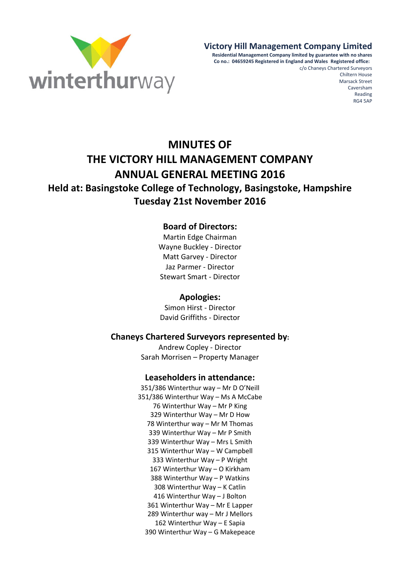

# **Victory Hill Management Company Limited**

**Residential Management Company limited by guarantee with no shares Co no.: 04659245 Registered in England and Wales Registered office:** 

c/o Chaneys Chartered Surveyors Chiltern House Marsack Street Caversham Reading RG4 5AP

# **MINUTES OF THE VICTORY HILL MANAGEMENT COMPANY ANNUAL GENERAL MEETING 2016 Held at: Basingstoke College of Technology, Basingstoke, Hampshire Tuesday 21st November 2016**

# **Board of Directors:**

Martin Edge Chairman Wayne Buckley - Director Matt Garvey - Director Jaz Parmer - Director Stewart Smart - Director

#### **Apologies:**

Simon Hirst - Director David Griffiths - Director

# **Chaneys Chartered Surveyors represented by:**

Andrew Copley - Director Sarah Morrisen – Property Manager

#### **Leaseholders in attendance:**

351/386 Winterthur way – Mr D O'Neill 351/386 Winterthur Way – Ms A McCabe 76 Winterthur Way – Mr P King 329 Winterthur Way – Mr D How 78 Winterthur way – Mr M Thomas 339 Winterthur Way – Mr P Smith 339 Winterthur Way – Mrs L Smith 315 Winterthur Way – W Campbell 333 Winterthur Way – P Wright 167 Winterthur Way – O Kirkham 388 Winterthur Way – P Watkins 308 Winterthur Way – K Catlin 416 Winterthur Way – J Bolton 361 Winterthur Way – Mr E Lapper 289 Winterthur way – Mr J Mellors 162 Winterthur Way – E Sapia 390 Winterthur Way – G Makepeace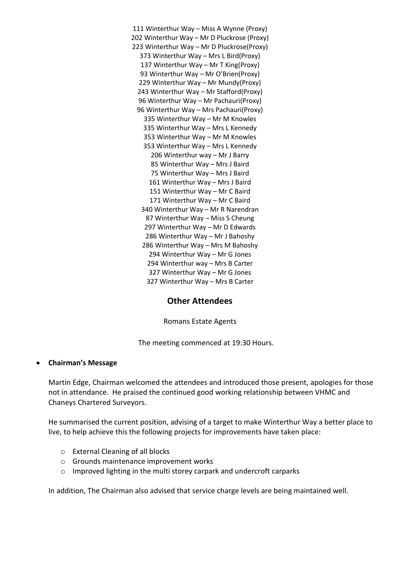111 Winterthur Way – Miss A Wynne (Proxy) 202 Winterthur Way – Mr D Pluckrose (Proxy) 223 Winterthur Way – Mr D Pluckrose(Proxy) 373 Winterthur Way – Mrs L Bird(Proxy) 137 Winterthur Way – Mr T King(Proxy) 93 Winterthur Way – Mr O'Brien(Proxy) 229 Winterthur Way – Mr Mundy(Proxy) 243 Winterthur Way – Mr Stafford(Proxy) 96 Winterthur Way – Mr Pachauri(Proxy) 96 Winterthur Way – Mrs Pachauri(Proxy) 335 Winterthur Way – Mr M Knowles 335 Winterthur Way – Mrs L Kennedy 353 Winterthur Way – Mr M Knowles 353 Winterthur Way – Mrs L Kennedy 206 Winterthur way – Mr J Barry 85 Winterthur Way – Mrs J Baird 75 Winterthur Way – Mrs J Baird 161 Winterthur Way – Mrs J Baird 151 Winterthur Way – Mr C Baird 171 Winterthur Way – Mr C Baird 340 Winterthur Way – Mr R Narendran 87 Winterthur Way – Miss S Cheung 297 Winterthur Way – Mr D Edwards 286 Winterthur Way – Mr J Bahoshy 286 Winterthur Way – Mrs M Bahoshy 294 Winterthur Way – Mr G Jones 294 Winterthur way – Mrs B Carter 327 Winterthur Way – Mr G Jones 327 Winterthur Way – Mrs B Carter

# **Other Attendees**

Romans Estate Agents

The meeting commenced at 19:30 Hours.

#### **Chairman's Message**

Martin Edge, Chairman welcomed the attendees and introduced those present, apologies for those not in attendance. He praised the continued good working relationship between VHMC and Chaneys Chartered Surveyors.

He summarised the current position, advising of a target to make Winterthur Way a better place to live, to help achieve this the following projects for improvements have taken place:

- o External Cleaning of all blocks
- o Grounds maintenance improvement works
- o Improved lighting in the multi storey carpark and undercroft carparks

In addition, The Chairman also advised that service charge levels are being maintained well.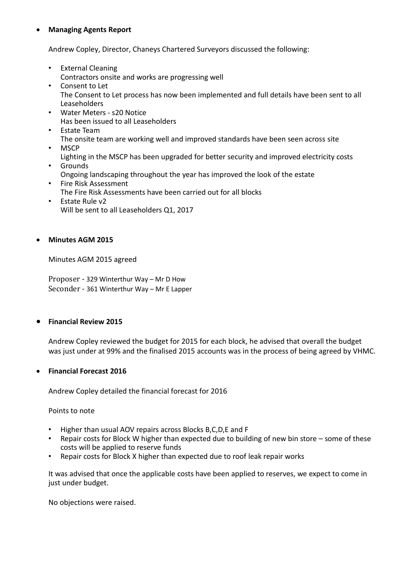# **Managing Agents Report**

Andrew Copley, Director, Chaneys Chartered Surveyors discussed the following:

- External Cleaning Contractors onsite and works are progressing well
- Consent to Let The Consent to Let process has now been implemented and full details have been sent to all Leaseholders
- Water Meters s20 Notice Has been issued to all Leaseholders
- Estate Team The onsite team are working well and improved standards have been seen across site
- MSCP Lighting in the MSCP has been upgraded for better security and improved electricity costs
- Grounds Ongoing landscaping throughout the year has improved the look of the estate
- Fire Risk Assessment The Fire Risk Assessments have been carried out for all blocks
- Estate Rule v2 Will be sent to all Leaseholders Q1, 2017

## **Minutes AGM 2015**

Minutes AGM 2015 agreed

Proposer - 329 Winterthur Way – Mr D How Seconder - 361 Winterthur Way – Mr E Lapper

## **Financial Review 2015**

Andrew Copley reviewed the budget for 2015 for each block, he advised that overall the budget was just under at 99% and the finalised 2015 accounts was in the process of being agreed by VHMC.

#### **Financial Forecast 2016**

Andrew Copley detailed the financial forecast for 2016

Points to note

- Higher than usual AOV repairs across Blocks B,C,D,E and F
- Repair costs for Block W higher than expected due to building of new bin store some of these costs will be applied to reserve funds
- Repair costs for Block X higher than expected due to roof leak repair works

It was advised that once the applicable costs have been applied to reserves, we expect to come in just under budget.

No objections were raised.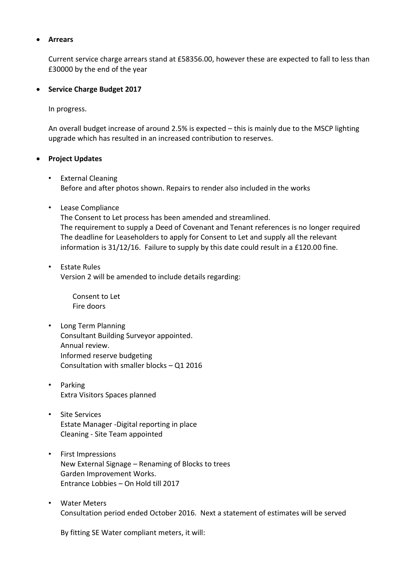#### **Arrears**

Current service charge arrears stand at £58356.00, however these are expected to fall to less than £30000 by the end of the year

#### **Service Charge Budget 2017**

In progress.

An overall budget increase of around 2.5% is expected – this is mainly due to the MSCP lighting upgrade which has resulted in an increased contribution to reserves.

#### **Project Updates**

- External Cleaning Before and after photos shown. Repairs to render also included in the works
- Lease Compliance

The Consent to Let process has been amended and streamlined. The requirement to supply a Deed of Covenant and Tenant references is no longer required The deadline for Leaseholders to apply for Consent to Let and supply all the relevant information is 31/12/16. Failure to supply by this date could result in a £120.00 fine.

• Estate Rules Version 2 will be amended to include details regarding:

> Consent to Let Fire doors

- Long Term Planning Consultant Building Surveyor appointed. Annual review. Informed reserve budgeting Consultation with smaller blocks – Q1 2016
- Parking Extra Visitors Spaces planned
- Site Services Estate Manager -Digital reporting in place Cleaning - Site Team appointed
- First Impressions New External Signage – Renaming of Blocks to trees Garden Improvement Works. Entrance Lobbies – On Hold till 2017
- Water Meters Consultation period ended October 2016. Next a statement of estimates will be served

By fitting SE Water compliant meters, it will: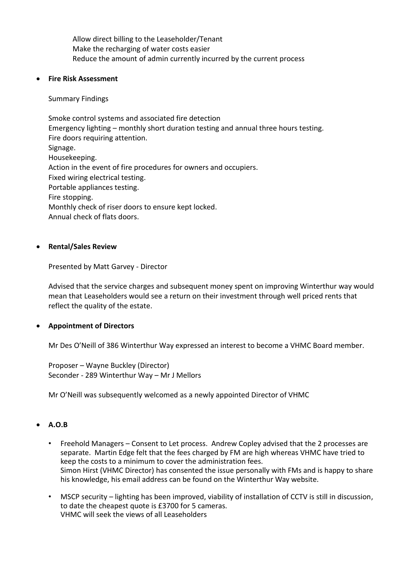Allow direct billing to the Leaseholder/Tenant Make the recharging of water costs easier Reduce the amount of admin currently incurred by the current process

#### **Fire Risk Assessment**

#### Summary Findings

Smoke control systems and associated fire detection Emergency lighting – monthly short duration testing and annual three hours testing. Fire doors requiring attention. Signage. Housekeeping. Action in the event of fire procedures for owners and occupiers. Fixed wiring electrical testing. Portable appliances testing. Fire stopping. Monthly check of riser doors to ensure kept locked. Annual check of flats doors.

## **Rental/Sales Review**

Presented by Matt Garvey - Director

Advised that the service charges and subsequent money spent on improving Winterthur way would mean that Leaseholders would see a return on their investment through well priced rents that reflect the quality of the estate.

# **Appointment of Directors**

Mr Des O'Neill of 386 Winterthur Way expressed an interest to become a VHMC Board member.

Proposer – Wayne Buckley (Director) Seconder - 289 Winterthur Way – Mr J Mellors

Mr O'Neill was subsequently welcomed as a newly appointed Director of VHMC

# **A.O.B**

- Freehold Managers Consent to Let process. Andrew Copley advised that the 2 processes are separate. Martin Edge felt that the fees charged by FM are high whereas VHMC have tried to keep the costs to a minimum to cover the administration fees. Simon Hirst (VHMC Director) has consented the issue personally with FMs and is happy to share his knowledge, his email address can be found on the Winterthur Way website.
- MSCP security lighting has been improved, viability of installation of CCTV is still in discussion, to date the cheapest quote is £3700 for 5 cameras. VHMC will seek the views of all Leaseholders